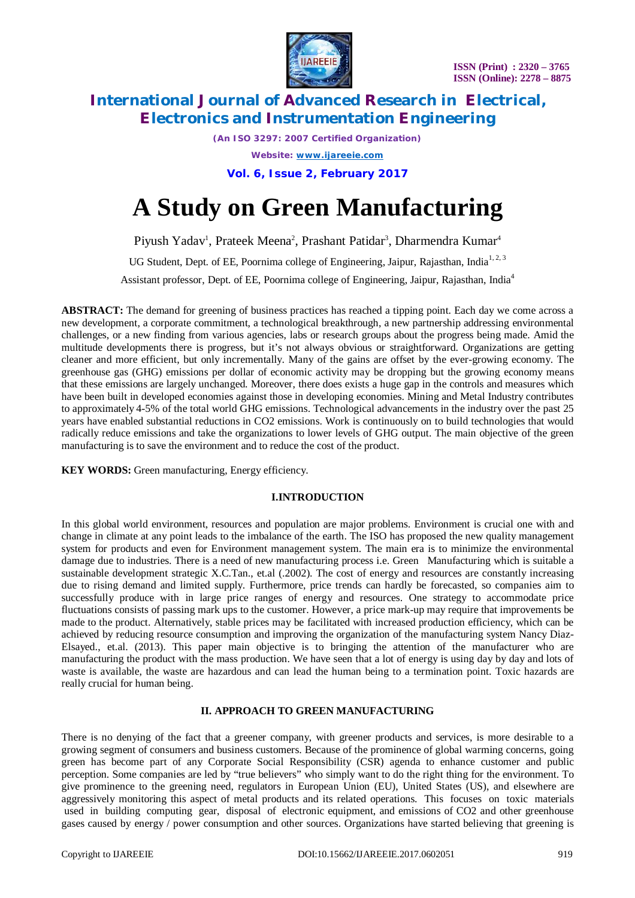

*(An ISO 3297: 2007 Certified Organization)*

*Website: [www.ijareeie.com](http://www.ijareeie.com)*

**Vol. 6, Issue 2, February 2017**

# **A Study on Green Manufacturing**

Piyush Yadav<sup>1</sup>, Prateek Meena<sup>2</sup>, Prashant Patidar<sup>3</sup>, Dharmendra Kumar<sup>4</sup>

UG Student, Dept. of EE, Poornima college of Engineering, Jaipur, Rajasthan, India<sup>1,2,3</sup>

Assistant professor, Dept. of EE, Poornima college of Engineering, Jaipur, Rajasthan, India<sup>4</sup>

**ABSTRACT:** The demand for greening of business practices has reached a tipping point. Each day we come across a new development, a corporate commitment, a technological breakthrough, a new partnership addressing environmental challenges, or a new finding from various agencies, labs or research groups about the progress being made. Amid the multitude developments there is progress, but it's not always obvious or straightforward. Organizations are getting cleaner and more efficient, but only incrementally. Many of the gains are offset by the ever-growing economy. The greenhouse gas (GHG) emissions per dollar of economic activity may be dropping but the growing economy means that these emissions are largely unchanged. Moreover, there does exists a huge gap in the controls and measures which have been built in developed economies against those in developing economies. Mining and Metal Industry contributes to approximately 4-5% of the total world GHG emissions. Technological advancements in the industry over the past 25 years have enabled substantial reductions in CO2 emissions. Work is continuously on to build technologies that would radically reduce emissions and take the organizations to lower levels of GHG output. The main objective of the green manufacturing is to save the environment and to reduce the cost of the product.

**KEY WORDS:** Green manufacturing, Energy efficiency.

# **I.INTRODUCTION**

In this global world environment, resources and population are major problems. Environment is crucial one with and change in climate at any point leads to the imbalance of the earth. The ISO has proposed the new quality management system for products and even for Environment management system. The main era is to minimize the environmental damage due to industries. There is a need of new manufacturing process i.e. Green Manufacturing which is suitable a sustainable development strategic X.C.Tan., et.al (.2002). The cost of energy and resources are constantly increasing due to rising demand and limited supply. Furthermore, price trends can hardly be forecasted, so companies aim to successfully produce with in large price ranges of energy and resources. One strategy to accommodate price fluctuations consists of passing mark ups to the customer. However, a price mark-up may require that improvements be made to the product. Alternatively, stable prices may be facilitated with increased production efficiency, which can be achieved by reducing resource consumption and improving the organization of the manufacturing system Nancy Diaz-Elsayed., et.al. (2013). This paper main objective is to bringing the attention of the manufacturer who are manufacturing the product with the mass production. We have seen that a lot of energy is using day by day and lots of waste is available, the waste are hazardous and can lead the human being to a termination point. Toxic hazards are really crucial for human being.

# **II. APPROACH TO GREEN MANUFACTURING**

There is no denying of the fact that a greener company, with greener products and services, is more desirable to a growing segment of consumers and business customers. Because of the prominence of global warming concerns, going green has become part of any Corporate Social Responsibility (CSR) agenda to enhance customer and public perception. Some companies are led by "true believers" who simply want to do the right thing for the environment. To give prominence to the greening need, regulators in European Union (EU), United States (US), and elsewhere are aggressively monitoring this aspect of metal products and its related operations. This focuses on toxic materials used in building computing gear, disposal of electronic equipment, and emissions of CO2 and other greenhouse gases caused by energy / power consumption and other sources. Organizations have started believing that greening is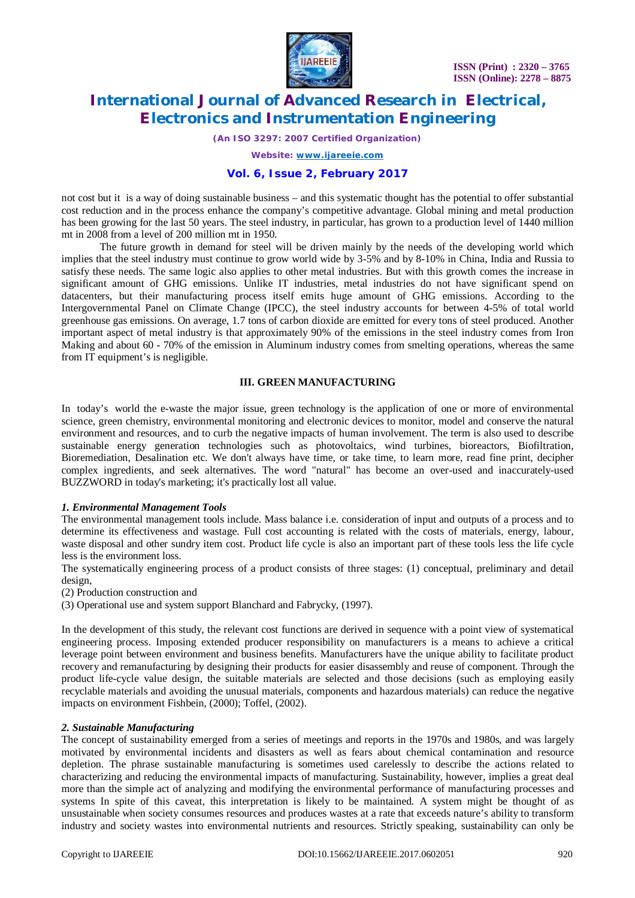

*(An ISO 3297: 2007 Certified Organization)*

*Website: [www.ijareeie.com](http://www.ijareeie.com)*

### **Vol. 6, Issue 2, February 2017**

not cost but it is a way of doing sustainable business – and this systematic thought has the potential to offer substantial cost reduction and in the process enhance the company's competitive advantage. Global mining and metal production has been growing for the last 50 years. The steel industry, in particular, has grown to a production level of 1440 million mt in 2008 from a level of 200 million mt in 1950.

The future growth in demand for steel will be driven mainly by the needs of the developing world which implies that the steel industry must continue to grow world wide by 3-5% and by 8-10% in China, India and Russia to satisfy these needs. The same logic also applies to other metal industries. But with this growth comes the increase in significant amount of GHG emissions. Unlike IT industries, metal industries do not have significant spend on datacenters, but their manufacturing process itself emits huge amount of GHG emissions. According to the Intergovernmental Panel on Climate Change (IPCC), the steel industry accounts for between 4-5% of total world greenhouse gas emissions. On average, 1.7 tons of carbon dioxide are emitted for every tons of steel produced. Another important aspect of metal industry is that approximately 90% of the emissions in the steel industry comes from Iron Making and about 60 - 70% of the emission in Aluminum industry comes from smelting operations, whereas the same from IT equipment's is negligible.

### **III. GREEN MANUFACTURING**

In today's world the e-waste the major issue, green technology is the application of one or more of environmental science, green chemistry, environmental monitoring and electronic devices to monitor, model and conserve the natural environment and resources, and to curb the negative impacts of human involvement. The term is also used to describe sustainable energy generation technologies such as photovoltaics, wind turbines, bioreactors, Biofiltration, Bioremediation, Desalination etc. We don't always have time, or take time, to learn more, read fine print, decipher complex ingredients, and seek alternatives. The word "natural" has become an over-used and inaccurately-used BUZZWORD in today's marketing; it's practically lost all value.

### *1. Environmental Management Tools*

The environmental management tools include. Mass balance i.e. consideration of input and outputs of a process and to determine its effectiveness and wastage. Full cost accounting is related with the costs of materials, energy, labour, waste disposal and other sundry item cost. Product life cycle is also an important part of these tools less the life cycle less is the environment loss.

The systematically engineering process of a product consists of three stages: (1) conceptual, preliminary and detail design,

(2) Production construction and

(3) Operational use and system support Blanchard and Fabrycky, (1997).

In the development of this study, the relevant cost functions are derived in sequence with a point view of systematical engineering process. Imposing extended producer responsibility on manufacturers is a means to achieve a critical leverage point between environment and business benefits. Manufacturers have the unique ability to facilitate product recovery and remanufacturing by designing their products for easier disassembly and reuse of component. Through the product life-cycle value design, the suitable materials are selected and those decisions (such as employing easily recyclable materials and avoiding the unusual materials, components and hazardous materials) can reduce the negative impacts on environment Fishbein, (2000); Toffel, (2002).

### *2. Sustainable Manufacturing*

The concept of sustainability emerged from a series of meetings and reports in the 1970s and 1980s, and was largely motivated by environmental incidents and disasters as well as fears about chemical contamination and resource depletion. The phrase sustainable manufacturing is sometimes used carelessly to describe the actions related to characterizing and reducing the environmental impacts of manufacturing. Sustainability, however, implies a great deal more than the simple act of analyzing and modifying the environmental performance of manufacturing processes and systems In spite of this caveat, this interpretation is likely to be maintained. A system might be thought of as unsustainable when society consumes resources and produces wastes at a rate that exceeds nature's ability to transform industry and society wastes into environmental nutrients and resources. Strictly speaking, sustainability can only be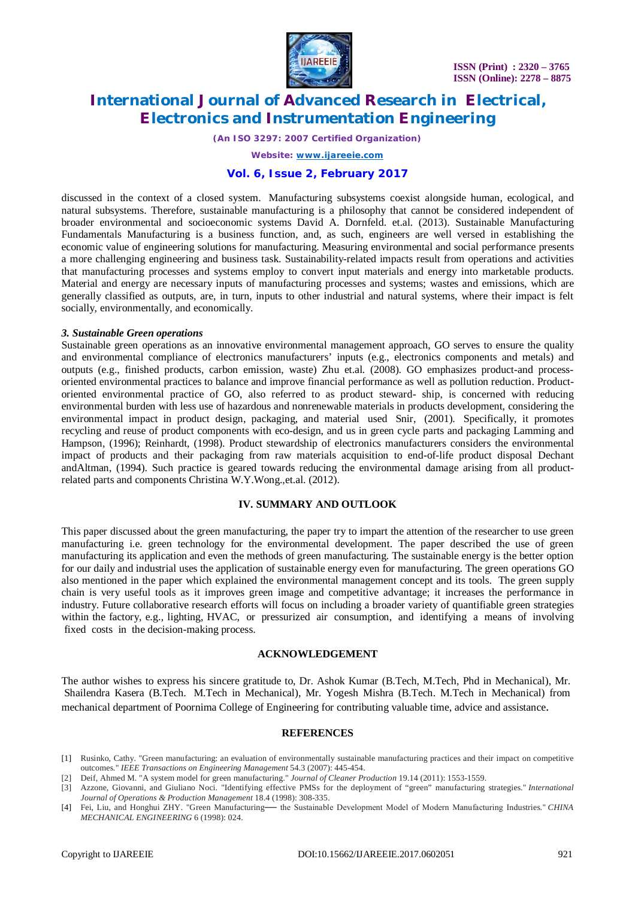

*(An ISO 3297: 2007 Certified Organization)*

*Website: [www.ijareeie.com](http://www.ijareeie.com)*

### **Vol. 6, Issue 2, February 2017**

discussed in the context of a closed system. Manufacturing subsystems coexist alongside human, ecological, and natural subsystems. Therefore, sustainable manufacturing is a philosophy that cannot be considered independent of broader environmental and socioeconomic systems David A. Dornfeld. et.al. (2013). Sustainable Manufacturing Fundamentals Manufacturing is a business function, and, as such, engineers are well versed in establishing the economic value of engineering solutions for manufacturing. Measuring environmental and social performance presents a more challenging engineering and business task. Sustainability-related impacts result from operations and activities that manufacturing processes and systems employ to convert input materials and energy into marketable products. Material and energy are necessary inputs of manufacturing processes and systems; wastes and emissions, which are generally classified as outputs, are, in turn, inputs to other industrial and natural systems, where their impact is felt socially, environmentally, and economically.

#### *3. Sustainable Green operations*

Sustainable green operations as an innovative environmental management approach, GO serves to ensure the quality and environmental compliance of electronics manufacturers' inputs (e.g., electronics components and metals) and outputs (e.g., finished products, carbon emission, waste) Zhu et.al. (2008). GO emphasizes product-and processoriented environmental practices to balance and improve financial performance as well as pollution reduction. Productoriented environmental practice of GO, also referred to as product steward- ship, is concerned with reducing environmental burden with less use of hazardous and nonrenewable materials in products development, considering the environmental impact in product design, packaging, and material used Snir, (2001). Specifically, it promotes recycling and reuse of product components with eco-design, and us in green cycle parts and packaging Lamming and Hampson, (1996); Reinhardt, (1998). Product stewardship of electronics manufacturers considers the environmental impact of products and their packaging from raw materials acquisition to end-of-life product disposal Dechant andAltman, (1994). Such practice is geared towards reducing the environmental damage arising from all productrelated parts and components Christina W.Y.Wong.,et.al. (2012).

#### **IV. SUMMARY AND OUTLOOK**

This paper discussed about the green manufacturing, the paper try to impart the attention of the researcher to use green manufacturing i.e. green technology for the environmental development. The paper described the use of green manufacturing its application and even the methods of green manufacturing. The sustainable energy is the better option for our daily and industrial uses the application of sustainable energy even for manufacturing. The green operations GO also mentioned in the paper which explained the environmental management concept and its tools. The green supply chain is very useful tools as it improves green image and competitive advantage; it increases the performance in industry. Future collaborative research efforts will focus on including a broader variety of quantifiable green strategies within the factory, e.g., lighting, HVAC, or pressurized air consumption, and identifying a means of involving fixed costs in the decision-making process.

#### **ACKNOWLEDGEMENT**

The author wishes to express his sincere gratitude to, Dr. Ashok Kumar (B.Tech, M.Tech, Phd in Mechanical), Mr. Shailendra Kasera (B.Tech. M.Tech in Mechanical), Mr. Yogesh Mishra (B.Tech. M.Tech in Mechanical) from mechanical department of Poornima College of Engineering for contributing valuable time, advice and assistance.

#### **REFERENCES**

- [1] Rusinko, Cathy. "Green manufacturing: an evaluation of environmentally sustainable manufacturing practices and their impact on competitive outcomes." *IEEE Transactions on Engineering Management* 54.3 (2007): 445-454.
- [2] Deif, Ahmed M. "A system model for green manufacturing." *Journal of Cleaner Production* 19.14 (2011): 1553-1559.

[4] Fei, Liu, and Honghui ZHY. "Green Manufacturing- the Sustainable Development Model of Modern Manufacturing Industries." CHINA *MECHANICAL ENGINEERING* 6 (1998): 024.

<sup>[3]</sup> Azzone, Giovanni, and Giuliano Noci. "Identifying effective PMSs for the deployment of "green" manufacturing strategies." *International Journal of Operations & Production Management* 18.4 (1998): 308-335.